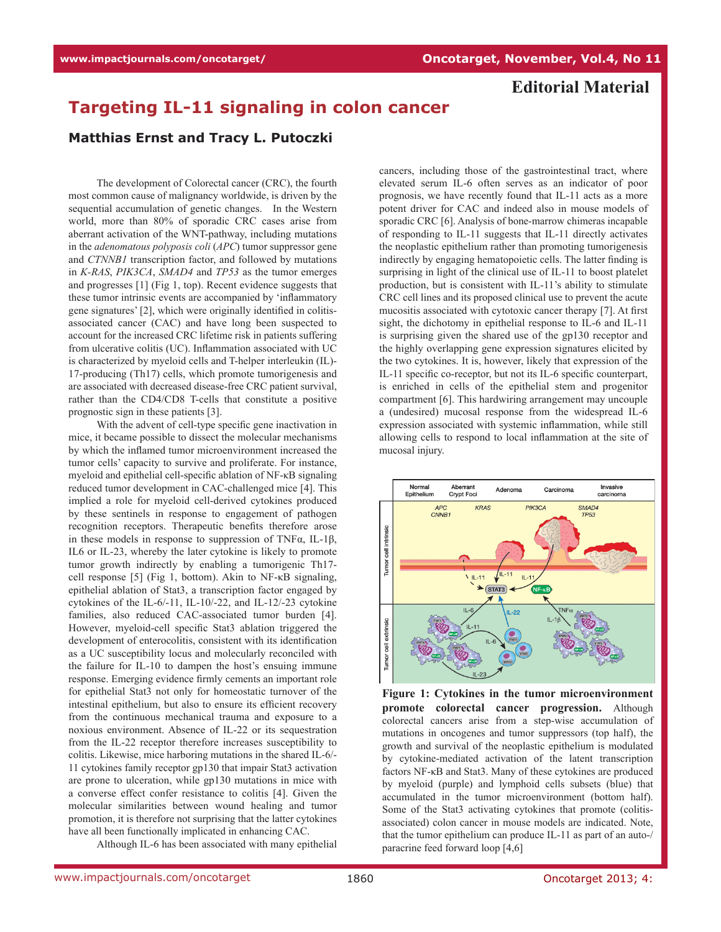## **Editorial Material**

## **Targeting IL-11 signaling in colon cancer**

## **Matthias Ernst and Tracy L. Putoczki**

The development of Colorectal cancer (CRC), the fourth most common cause of malignancy worldwide, is driven by the sequential accumulation of genetic changes. In the Western world, more than 80% of sporadic CRC cases arise from aberrant activation of the WNT-pathway, including mutations in the *adenomatous polyposis coli* (*APC*) tumor suppressor gene and *CTNNB1* transcription factor, and followed by mutations in *K-RAS*, *PIK3CA*, *SMAD4* and *TP53* as the tumor emerges and progresses [1] (Fig 1, top). Recent evidence suggests that these tumor intrinsic events are accompanied by 'inflammatory gene signatures' [2], which were originally identified in colitisassociated cancer (CAC) and have long been suspected to account for the increased CRC lifetime risk in patients suffering from ulcerative colitis (UC). Inflammation associated with UC is characterized by myeloid cells and T-helper interleukin (IL)- 17-producing (Th17) cells, which promote tumorigenesis and are associated with decreased disease-free CRC patient survival, rather than the CD4/CD8 T-cells that constitute a positive prognostic sign in these patients [3].

With the advent of cell-type specific gene inactivation in mice, it became possible to dissect the molecular mechanisms by which the inflamed tumor microenvironment increased the tumor cells' capacity to survive and proliferate. For instance, myeloid and epithelial cell-specific ablation of NF-κB signaling reduced tumor development in CAC-challenged mice [4]. This implied a role for myeloid cell-derived cytokines produced by these sentinels in response to engagement of pathogen recognition receptors. Therapeutic benefits therefore arose in these models in response to suppression of TNFα, IL-1β, IL6 or IL-23, whereby the later cytokine is likely to promote tumor growth indirectly by enabling a tumorigenic Th17 cell response [5] (Fig 1, bottom). Akin to NF-κB signaling, epithelial ablation of Stat3, a transcription factor engaged by cytokines of the IL-6/-11, IL-10/-22, and IL-12/-23 cytokine families, also reduced CAC-associated tumor burden [4]. However, myeloid-cell specific Stat3 ablation triggered the development of enterocolitis, consistent with its identification as a UC susceptibility locus and molecularly reconciled with the failure for IL-10 to dampen the host's ensuing immune response. Emerging evidence firmly cements an important role for epithelial Stat3 not only for homeostatic turnover of the intestinal epithelium, but also to ensure its efficient recovery from the continuous mechanical trauma and exposure to a noxious environment. Absence of IL-22 or its sequestration from the IL-22 receptor therefore increases susceptibility to colitis. Likewise, mice harboring mutations in the shared IL-6/- 11 cytokines family receptor gp130 that impair Stat3 activation are prone to ulceration, while gp130 mutations in mice with a converse effect confer resistance to colitis [4]. Given the molecular similarities between wound healing and tumor promotion, it is therefore not surprising that the latter cytokines have all been functionally implicated in enhancing CAC.

Although IL-6 has been associated with many epithelial

cancers, including those of the gastrointestinal tract, where elevated serum IL-6 often serves as an indicator of poor prognosis, we have recently found that IL-11 acts as a more potent driver for CAC and indeed also in mouse models of sporadic CRC [6]. Analysis of bone-marrow chimeras incapable of responding to IL-11 suggests that IL-11 directly activates the neoplastic epithelium rather than promoting tumorigenesis indirectly by engaging hematopoietic cells. The latter finding is surprising in light of the clinical use of IL-11 to boost platelet production, but is consistent with IL-11's ability to stimulate CRC cell lines and its proposed clinical use to prevent the acute mucositis associated with cytotoxic cancer therapy [7]. At first sight, the dichotomy in epithelial response to IL-6 and IL-11 is surprising given the shared use of the gp130 receptor and the highly overlapping gene expression signatures elicited by the two cytokines. It is, however, likely that expression of the IL-11 specific co-receptor, but not its IL-6 specific counterpart, is enriched in cells of the epithelial stem and progenitor compartment [6]. This hardwiring arrangement may uncouple a (undesired) mucosal response from the widespread IL-6 expression associated with systemic inflammation, while still allowing cells to respond to local inflammation at the site of mucosal injury.



**Figure 1: Cytokines in the tumor microenvironment promote colorectal cancer progression.** Although colorectal cancers arise from a step-wise accumulation of mutations in oncogenes and tumor suppressors (top half), the growth and survival of the neoplastic epithelium is modulated by cytokine-mediated activation of the latent transcription factors NF-κB and Stat3. Many of these cytokines are produced by myeloid (purple) and lymphoid cells subsets (blue) that accumulated in the tumor microenvironment (bottom half). Some of the Stat3 activating cytokines that promote (colitisassociated) colon cancer in mouse models are indicated. Note, that the tumor epithelium can produce IL-11 as part of an auto-/ paracrine feed forward loop [4,6]